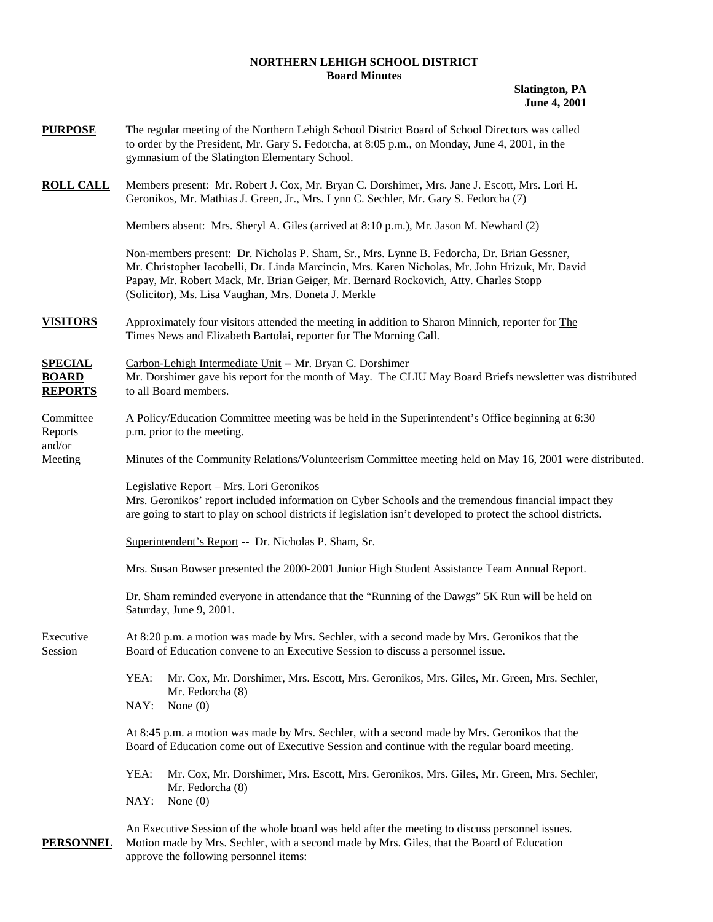### **NORTHERN LEHIGH SCHOOL DISTRICT Board Minutes**

**Slatington, PA June 4, 2001** 

| <u>PURPOSE</u>                                   | The regular meeting of the Northern Lehigh School District Board of School Directors was called<br>to order by the President, Mr. Gary S. Fedorcha, at 8:05 p.m., on Monday, June 4, 2001, in the<br>gymnasium of the Slatington Elementary School.                                                                                           |  |  |
|--------------------------------------------------|-----------------------------------------------------------------------------------------------------------------------------------------------------------------------------------------------------------------------------------------------------------------------------------------------------------------------------------------------|--|--|
| <u>ROLL CALL</u>                                 | Members present: Mr. Robert J. Cox, Mr. Bryan C. Dorshimer, Mrs. Jane J. Escott, Mrs. Lori H.<br>Geronikos, Mr. Mathias J. Green, Jr., Mrs. Lynn C. Sechler, Mr. Gary S. Fedorcha (7)                                                                                                                                                         |  |  |
|                                                  | Members absent: Mrs. Sheryl A. Giles (arrived at 8:10 p.m.), Mr. Jason M. Newhard (2)                                                                                                                                                                                                                                                         |  |  |
|                                                  | Non-members present: Dr. Nicholas P. Sham, Sr., Mrs. Lynne B. Fedorcha, Dr. Brian Gessner,<br>Mr. Christopher Iacobelli, Dr. Linda Marcincin, Mrs. Karen Nicholas, Mr. John Hrizuk, Mr. David<br>Papay, Mr. Robert Mack, Mr. Brian Geiger, Mr. Bernard Rockovich, Atty. Charles Stopp<br>(Solicitor), Ms. Lisa Vaughan, Mrs. Doneta J. Merkle |  |  |
| <b>VISITORS</b>                                  | Approximately four visitors attended the meeting in addition to Sharon Minnich, reporter for The<br>Times News and Elizabeth Bartolai, reporter for The Morning Call.                                                                                                                                                                         |  |  |
| <u>SPECIAL</u><br><b>BOARD</b><br><b>REPORTS</b> | Carbon-Lehigh Intermediate Unit -- Mr. Bryan C. Dorshimer<br>Mr. Dorshimer gave his report for the month of May. The CLIU May Board Briefs newsletter was distributed<br>to all Board members.                                                                                                                                                |  |  |
| Committee<br>Reports                             | A Policy/Education Committee meeting was be held in the Superintendent's Office beginning at 6:30<br>p.m. prior to the meeting.                                                                                                                                                                                                               |  |  |
| and/or<br>Meeting                                | Minutes of the Community Relations/Volunteerism Committee meeting held on May 16, 2001 were distributed.                                                                                                                                                                                                                                      |  |  |
|                                                  | Legislative Report - Mrs. Lori Geronikos<br>Mrs. Geronikos' report included information on Cyber Schools and the tremendous financial impact they<br>are going to start to play on school districts if legislation isn't developed to protect the school districts.                                                                           |  |  |
|                                                  | Superintendent's Report -- Dr. Nicholas P. Sham, Sr.                                                                                                                                                                                                                                                                                          |  |  |
|                                                  | Mrs. Susan Bowser presented the 2000-2001 Junior High Student Assistance Team Annual Report.                                                                                                                                                                                                                                                  |  |  |
|                                                  | Dr. Sham reminded everyone in attendance that the "Running of the Dawgs" 5K Run will be held on<br>Saturday, June 9, 2001.                                                                                                                                                                                                                    |  |  |
| Executive<br>Session                             | At 8:20 p.m. a motion was made by Mrs. Sechler, with a second made by Mrs. Geronikos that the<br>Board of Education convene to an Executive Session to discuss a personnel issue.                                                                                                                                                             |  |  |
|                                                  | YEA:<br>Mr. Cox, Mr. Dorshimer, Mrs. Escott, Mrs. Geronikos, Mrs. Giles, Mr. Green, Mrs. Sechler,<br>Mr. Fedorcha (8)                                                                                                                                                                                                                         |  |  |
|                                                  | NAY:<br>None $(0)$                                                                                                                                                                                                                                                                                                                            |  |  |
|                                                  | At 8:45 p.m. a motion was made by Mrs. Sechler, with a second made by Mrs. Geronikos that the<br>Board of Education come out of Executive Session and continue with the regular board meeting.                                                                                                                                                |  |  |
|                                                  | YEA:<br>Mr. Cox, Mr. Dorshimer, Mrs. Escott, Mrs. Geronikos, Mrs. Giles, Mr. Green, Mrs. Sechler,<br>Mr. Fedorcha (8)                                                                                                                                                                                                                         |  |  |
|                                                  | NAY:<br>None $(0)$                                                                                                                                                                                                                                                                                                                            |  |  |
| PERSONNEL                                        | An Executive Session of the whole board was held after the meeting to discuss personnel issues.<br>Motion made by Mrs. Sechler, with a second made by Mrs. Giles, that the Board of Education                                                                                                                                                 |  |  |

approve the following personnel items: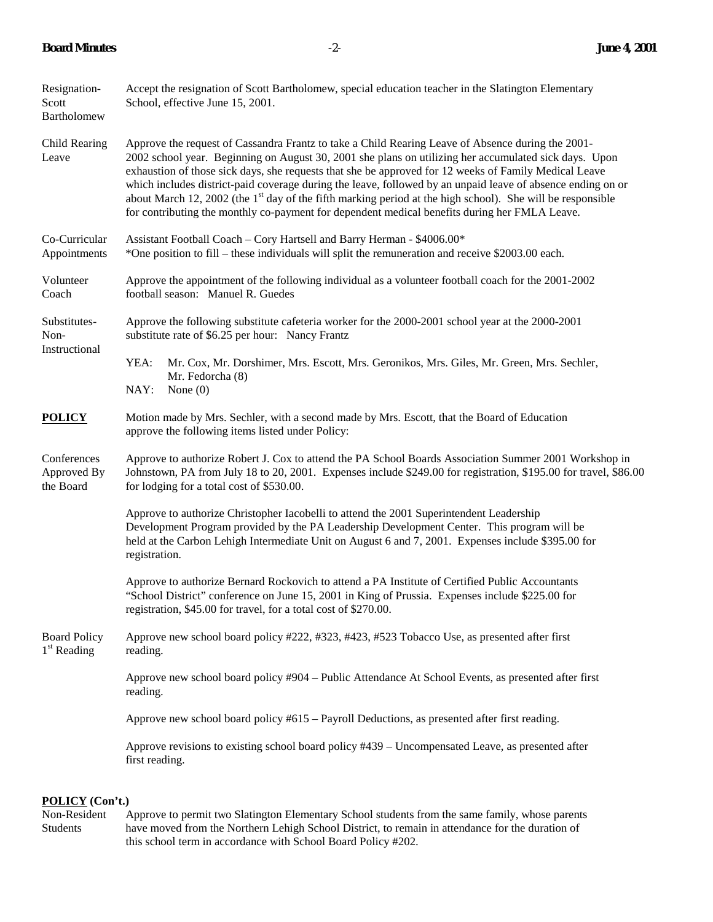## **Board Minutes** -2- **June 4, 2001**

| Resignation-<br>Scott<br>Bartholomew           | Accept the resignation of Scott Bartholomew, special education teacher in the Slatington Elementary<br>School, effective June 15, 2001.                                                                                                                                                                                                                                                                                                                                                                                                                                                                                                                       |  |  |
|------------------------------------------------|---------------------------------------------------------------------------------------------------------------------------------------------------------------------------------------------------------------------------------------------------------------------------------------------------------------------------------------------------------------------------------------------------------------------------------------------------------------------------------------------------------------------------------------------------------------------------------------------------------------------------------------------------------------|--|--|
| Child Rearing<br>Leave                         | Approve the request of Cassandra Frantz to take a Child Rearing Leave of Absence during the 2001-<br>2002 school year. Beginning on August 30, 2001 she plans on utilizing her accumulated sick days. Upon<br>exhaustion of those sick days, she requests that she be approved for 12 weeks of Family Medical Leave<br>which includes district-paid coverage during the leave, followed by an unpaid leave of absence ending on or<br>about March 12, 2002 (the 1 <sup>st</sup> day of the fifth marking period at the high school). She will be responsible<br>for contributing the monthly co-payment for dependent medical benefits during her FMLA Leave. |  |  |
| Co-Curricular<br>Appointments                  | Assistant Football Coach - Cory Hartsell and Barry Herman - \$4006.00*<br>*One position to fill – these individuals will split the remuneration and receive \$2003.00 each.                                                                                                                                                                                                                                                                                                                                                                                                                                                                                   |  |  |
| Volunteer<br>Coach                             | Approve the appointment of the following individual as a volunteer football coach for the 2001-2002<br>football season: Manuel R. Guedes                                                                                                                                                                                                                                                                                                                                                                                                                                                                                                                      |  |  |
| Substitutes-<br>Non-<br>Instructional          | Approve the following substitute cafeteria worker for the 2000-2001 school year at the 2000-2001<br>substitute rate of \$6.25 per hour: Nancy Frantz                                                                                                                                                                                                                                                                                                                                                                                                                                                                                                          |  |  |
|                                                | YEA:<br>Mr. Cox, Mr. Dorshimer, Mrs. Escott, Mrs. Geronikos, Mrs. Giles, Mr. Green, Mrs. Sechler,<br>Mr. Fedorcha (8)<br>NAY:<br>None $(0)$                                                                                                                                                                                                                                                                                                                                                                                                                                                                                                                   |  |  |
| <b>POLICY</b>                                  | Motion made by Mrs. Sechler, with a second made by Mrs. Escott, that the Board of Education<br>approve the following items listed under Policy:                                                                                                                                                                                                                                                                                                                                                                                                                                                                                                               |  |  |
| Conferences<br>Approved By<br>the Board        | Approve to authorize Robert J. Cox to attend the PA School Boards Association Summer 2001 Workshop in<br>Johnstown, PA from July 18 to 20, 2001. Expenses include \$249.00 for registration, \$195.00 for travel, \$86.00<br>for lodging for a total cost of \$530.00.                                                                                                                                                                                                                                                                                                                                                                                        |  |  |
|                                                | Approve to authorize Christopher Iacobelli to attend the 2001 Superintendent Leadership<br>Development Program provided by the PA Leadership Development Center. This program will be<br>held at the Carbon Lehigh Intermediate Unit on August 6 and 7, 2001. Expenses include \$395.00 for<br>registration.                                                                                                                                                                                                                                                                                                                                                  |  |  |
|                                                | Approve to authorize Bernard Rockovich to attend a PA Institute of Certified Public Accountants<br>"School District" conference on June 15, 2001 in King of Prussia. Expenses include \$225.00 for<br>registration, \$45.00 for travel, for a total cost of \$270.00.                                                                                                                                                                                                                                                                                                                                                                                         |  |  |
| <b>Board Policy</b><br>1 <sup>st</sup> Reading | Approve new school board policy #222, #323, #423, #523 Tobacco Use, as presented after first<br>reading.                                                                                                                                                                                                                                                                                                                                                                                                                                                                                                                                                      |  |  |
|                                                | Approve new school board policy #904 - Public Attendance At School Events, as presented after first<br>reading.                                                                                                                                                                                                                                                                                                                                                                                                                                                                                                                                               |  |  |
|                                                | Approve new school board policy #615 – Payroll Deductions, as presented after first reading.                                                                                                                                                                                                                                                                                                                                                                                                                                                                                                                                                                  |  |  |
|                                                | Approve revisions to existing school board policy #439 – Uncompensated Leave, as presented after<br>first reading.                                                                                                                                                                                                                                                                                                                                                                                                                                                                                                                                            |  |  |
|                                                |                                                                                                                                                                                                                                                                                                                                                                                                                                                                                                                                                                                                                                                               |  |  |

**POLICY** (Con't.)<br>Non-Resident A Approve to permit two Slatington Elementary School students from the same family, whose parents Students have moved from the Northern Lehigh School District, to remain in attendance for the duration of this school term in accordance with School Board Policy #202.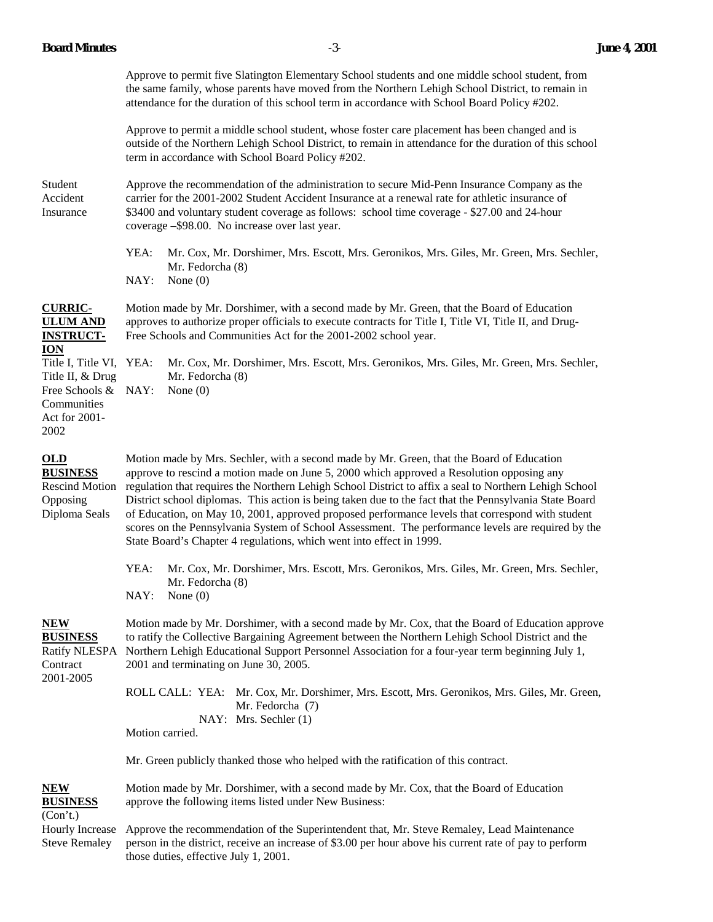| Approve to permit five Slatington Elementary School students and one middle school student, from |
|--------------------------------------------------------------------------------------------------|
| the same family, whose parents have moved from the Northern Lehigh School District, to remain in |
| attendance for the duration of this school term in accordance with School Board Policy #202.     |

Approve to permit a middle school student, whose foster care placement has been changed and is outside of the Northern Lehigh School District, to remain in attendance for the duration of this school term in accordance with School Board Policy #202.

Student Approve the recommendation of the administration to secure Mid-Penn Insurance Company as the Accident carrier for the 2001-2002 Student Accident Insurance at a renewal rate for athletic insurance of Insurance \$3400 and voluntary student coverage as follows: school time coverage - \$27.00 and 24-hour coverage –\$98.00. No increase over last year.

> YEA: Mr. Cox, Mr. Dorshimer, Mrs. Escott, Mrs. Geronikos, Mrs. Giles, Mr. Green, Mrs. Sechler, Mr. Fedorcha (8) NAY: None (0)

**CURRIC-** Motion made by Mr. Dorshimer, with a second made by Mr. Green, that the Board of Education **ULUM AND** approves to authorize proper officials to execute contracts for Title I, Title VI, Title II, and Drug-**INSTRUCT-** Free Schools and Communities Act for the 2001-2002 school year. **ION**

Title I, Title VI, YEA: Mr. Cox, Mr. Dorshimer, Mrs. Escott, Mrs. Geronikos, Mrs. Giles, Mr. Green, Mrs. Sechler, Title II, & Drug Mr. Fedorcha (8) Free Schools & NAY: None (0) Communities Act for 2001- 2002

**OLD** Motion made by Mrs. Sechler, with a second made by Mr. Green, that the Board of Education **BUSINESS** approve to rescind a motion made on June 5, 2000 which approved a Resolution opposing any Rescind Motion regulation that requires the Northern Lehigh School District to affix a seal to Northern Lehigh School Opposing District school diplomas. This action is being taken due to the fact that the Pennsylvania State Board Diploma Seals of Education, on May 10, 2001, approved proposed performance levels that correspond with student scores on the Pennsylvania System of School Assessment. The performance levels are required by the State Board's Chapter 4 regulations, which went into effect in 1999.

> YEA: Mr. Cox, Mr. Dorshimer, Mrs. Escott, Mrs. Geronikos, Mrs. Giles, Mr. Green, Mrs. Sechler, Mr. Fedorcha (8)

NAY: None (0)

2001-2005

**NEW** Motion made by Mr. Dorshimer, with a second made by Mr. Cox, that the Board of Education approve **BUSINESS** to ratify the Collective Bargaining Agreement between the Northern Lehigh School District and the Ratify NLESPA Northern Lehigh Educational Support Personnel Association for a four-year term beginning July 1, Contract 2001 and terminating on June 30, 2005.

> ROLL CALL: YEA: Mr. Cox, Mr. Dorshimer, Mrs. Escott, Mrs. Geronikos, Mrs. Giles, Mr. Green, Mr. Fedorcha (7) NAY: Mrs. Sechler (1)

Motion carried.

Mr. Green publicly thanked those who helped with the ratification of this contract.

**NEW** Motion made by Mr. Dorshimer, with a second made by Mr. Cox, that the Board of Education **BUSINESS** approve the following items listed under New Business:

(Con't.)

Hourly Increase Approve the recommendation of the Superintendent that, Mr. Steve Remaley, Lead Maintenance Steve Remaley person in the district, receive an increase of \$3.00 per hour above his current rate of pay to perform those duties, effective July 1, 2001.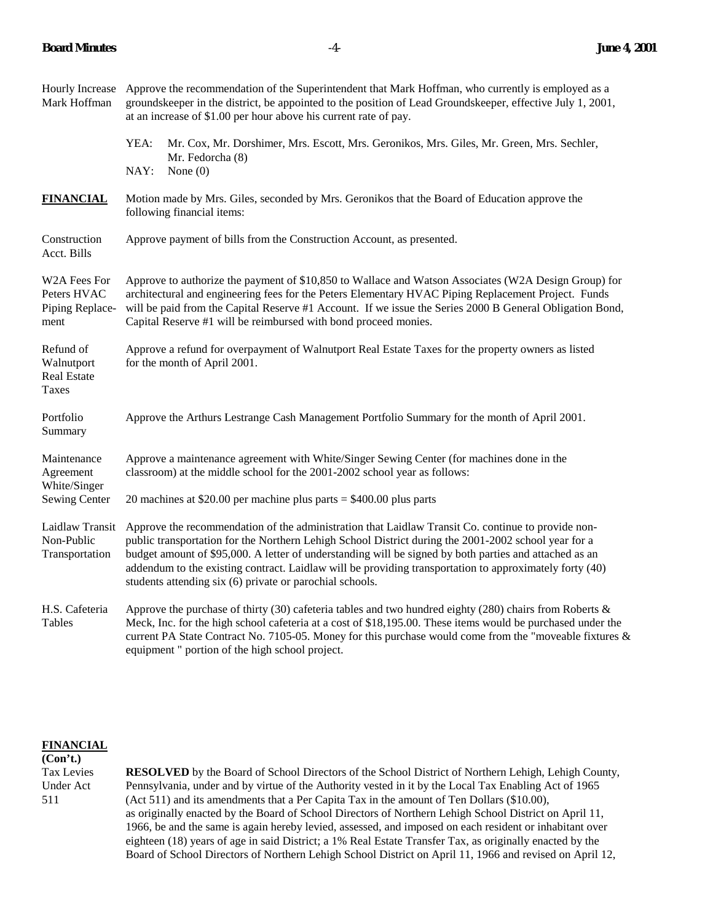| Mark Hoffman                                           | Hourly Increase Approve the recommendation of the Superintendent that Mark Hoffman, who currently is employed as a<br>groundskeeper in the district, be appointed to the position of Lead Groundskeeper, effective July 1, 2001,<br>at an increase of \$1.00 per hour above his current rate of pay.                                                                                                                                                                                        |  |  |
|--------------------------------------------------------|---------------------------------------------------------------------------------------------------------------------------------------------------------------------------------------------------------------------------------------------------------------------------------------------------------------------------------------------------------------------------------------------------------------------------------------------------------------------------------------------|--|--|
|                                                        | YEA:<br>Mr. Cox, Mr. Dorshimer, Mrs. Escott, Mrs. Geronikos, Mrs. Giles, Mr. Green, Mrs. Sechler,<br>Mr. Fedorcha (8)                                                                                                                                                                                                                                                                                                                                                                       |  |  |
|                                                        | NAY:<br>None $(0)$                                                                                                                                                                                                                                                                                                                                                                                                                                                                          |  |  |
| <b>FINANCIAL</b>                                       | Motion made by Mrs. Giles, seconded by Mrs. Geronikos that the Board of Education approve the<br>following financial items:                                                                                                                                                                                                                                                                                                                                                                 |  |  |
| Construction<br>Acct. Bills                            | Approve payment of bills from the Construction Account, as presented.                                                                                                                                                                                                                                                                                                                                                                                                                       |  |  |
| W2A Fees For<br>Peters HVAC<br>Piping Replace-<br>ment | Approve to authorize the payment of \$10,850 to Wallace and Watson Associates (W2A Design Group) for<br>architectural and engineering fees for the Peters Elementary HVAC Piping Replacement Project. Funds<br>will be paid from the Capital Reserve #1 Account. If we issue the Series 2000 B General Obligation Bond,<br>Capital Reserve #1 will be reimbursed with bond proceed monies.                                                                                                  |  |  |
| Refund of<br>Walnutport<br><b>Real Estate</b><br>Taxes | Approve a refund for overpayment of Walnutport Real Estate Taxes for the property owners as listed<br>for the month of April 2001.                                                                                                                                                                                                                                                                                                                                                          |  |  |
| Portfolio<br>Summary                                   | Approve the Arthurs Lestrange Cash Management Portfolio Summary for the month of April 2001.                                                                                                                                                                                                                                                                                                                                                                                                |  |  |
| Maintenance<br>Agreement<br>White/Singer               | Approve a maintenance agreement with White/Singer Sewing Center (for machines done in the<br>classroom) at the middle school for the 2001-2002 school year as follows:                                                                                                                                                                                                                                                                                                                      |  |  |
| Sewing Center                                          | 20 machines at \$20.00 per machine plus parts $=$ \$400.00 plus parts                                                                                                                                                                                                                                                                                                                                                                                                                       |  |  |
| Laidlaw Transit<br>Non-Public<br>Transportation        | Approve the recommendation of the administration that Laidlaw Transit Co. continue to provide non-<br>public transportation for the Northern Lehigh School District during the 2001-2002 school year for a<br>budget amount of \$95,000. A letter of understanding will be signed by both parties and attached as an<br>addendum to the existing contract. Laidlaw will be providing transportation to approximately forty (40)<br>students attending six (6) private or parochial schools. |  |  |
| H.S. Cafeteria<br><b>Tables</b>                        | Approve the purchase of thirty (30) cafeteria tables and two hundred eighty (280) chairs from Roberts $\&$<br>Meck, Inc. for the high school cafeteria at a cost of \$18,195.00. These items would be purchased under the<br>current PA State Contract No. 7105-05. Money for this purchase would come from the "moveable fixtures $\&$                                                                                                                                                     |  |  |

# **FINANCIAL**

**(Con't.)**  Tax Levies **RESOLVED** by the Board of School Directors of the School District of Northern Lehigh, Lehigh County, Under Act Pennsylvania, under and by virtue of the Authority vested in it by the Local Tax Enabling Act of 1965 511 (Act 511) and its amendments that a Per Capita Tax in the amount of Ten Dollars (\$10.00), as originally enacted by the Board of School Directors of Northern Lehigh School District on April 11, 1966, be and the same is again hereby levied, assessed, and imposed on each resident or inhabitant over eighteen (18) years of age in said District; a 1% Real Estate Transfer Tax, as originally enacted by the Board of School Directors of Northern Lehigh School District on April 11, 1966 and revised on April 12,

equipment " portion of the high school project.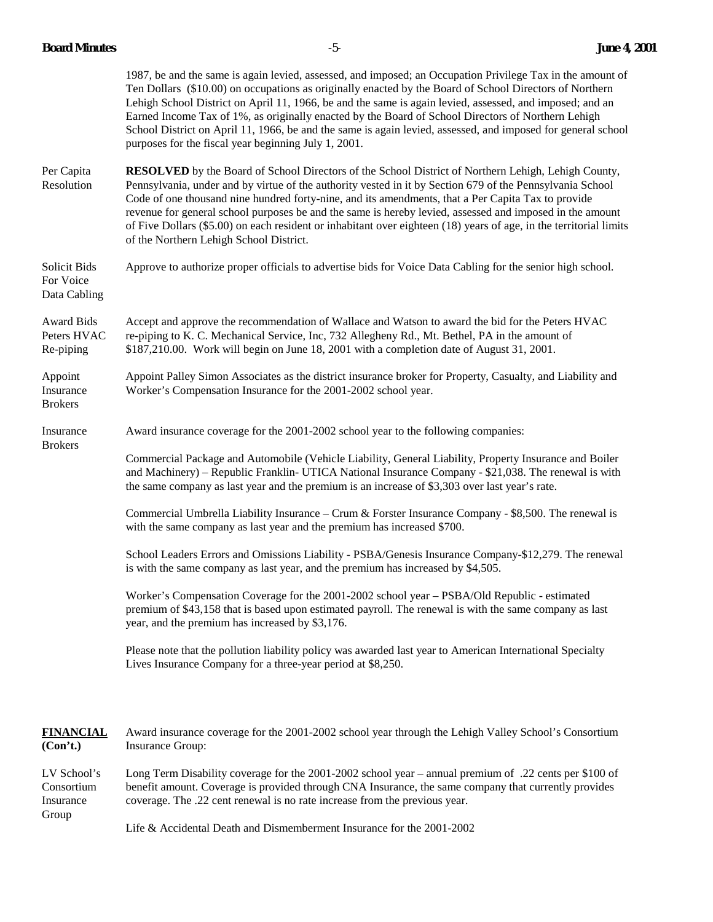### **Board Minutes** -5- **June 4, 2001**

|                                               | 1987, be and the same is again levied, assessed, and imposed; an Occupation Privilege Tax in the amount of<br>Ten Dollars (\$10.00) on occupations as originally enacted by the Board of School Directors of Northern<br>Lehigh School District on April 11, 1966, be and the same is again levied, assessed, and imposed; and an<br>Earned Income Tax of 1%, as originally enacted by the Board of School Directors of Northern Lehigh<br>School District on April 11, 1966, be and the same is again levied, assessed, and imposed for general school<br>purposes for the fiscal year beginning July 1, 2001. |  |
|-----------------------------------------------|-----------------------------------------------------------------------------------------------------------------------------------------------------------------------------------------------------------------------------------------------------------------------------------------------------------------------------------------------------------------------------------------------------------------------------------------------------------------------------------------------------------------------------------------------------------------------------------------------------------------|--|
| Per Capita<br>Resolution                      | <b>RESOLVED</b> by the Board of School Directors of the School District of Northern Lehigh, Lehigh County,<br>Pennsylvania, under and by virtue of the authority vested in it by Section 679 of the Pennsylvania School<br>Code of one thousand nine hundred forty-nine, and its amendments, that a Per Capita Tax to provide<br>revenue for general school purposes be and the same is hereby levied, assessed and imposed in the amount<br>of Five Dollars (\$5.00) on each resident or inhabitant over eighteen (18) years of age, in the territorial limits<br>of the Northern Lehigh School District.      |  |
| Solicit Bids<br>For Voice<br>Data Cabling     | Approve to authorize proper officials to advertise bids for Voice Data Cabling for the senior high school.                                                                                                                                                                                                                                                                                                                                                                                                                                                                                                      |  |
| <b>Award Bids</b><br>Peters HVAC<br>Re-piping | Accept and approve the recommendation of Wallace and Watson to award the bid for the Peters HVAC<br>re-piping to K. C. Mechanical Service, Inc, 732 Allegheny Rd., Mt. Bethel, PA in the amount of<br>\$187,210.00. Work will begin on June 18, 2001 with a completion date of August 31, 2001.                                                                                                                                                                                                                                                                                                                 |  |
| Appoint<br>Insurance<br><b>Brokers</b>        | Appoint Palley Simon Associates as the district insurance broker for Property, Casualty, and Liability and<br>Worker's Compensation Insurance for the 2001-2002 school year.                                                                                                                                                                                                                                                                                                                                                                                                                                    |  |
| Insurance<br><b>Brokers</b>                   | Award insurance coverage for the 2001-2002 school year to the following companies:                                                                                                                                                                                                                                                                                                                                                                                                                                                                                                                              |  |
|                                               | Commercial Package and Automobile (Vehicle Liability, General Liability, Property Insurance and Boiler<br>and Machinery) – Republic Franklin- UTICA National Insurance Company - \$21,038. The renewal is with<br>the same company as last year and the premium is an increase of \$3,303 over last year's rate.                                                                                                                                                                                                                                                                                                |  |
|                                               | Commercial Umbrella Liability Insurance – Crum & Forster Insurance Company - \$8,500. The renewal is<br>with the same company as last year and the premium has increased \$700.                                                                                                                                                                                                                                                                                                                                                                                                                                 |  |
|                                               | School Leaders Errors and Omissions Liability - PSBA/Genesis Insurance Company-\$12,279. The renewal<br>is with the same company as last year, and the premium has increased by \$4,505.                                                                                                                                                                                                                                                                                                                                                                                                                        |  |
|                                               | Worker's Compensation Coverage for the 2001-2002 school year – PSBA/Old Republic - estimated<br>premium of \$43,158 that is based upon estimated payroll. The renewal is with the same company as last<br>year, and the premium has increased by \$3,176.                                                                                                                                                                                                                                                                                                                                                       |  |
|                                               | Please note that the pollution liability policy was awarded last year to American International Specialty<br>Lives Insurance Company for a three-year period at \$8,250.                                                                                                                                                                                                                                                                                                                                                                                                                                        |  |
|                                               |                                                                                                                                                                                                                                                                                                                                                                                                                                                                                                                                                                                                                 |  |
|                                               |                                                                                                                                                                                                                                                                                                                                                                                                                                                                                                                                                                                                                 |  |

**FINANCIAL** Award insurance coverage for the 2001-2002 school year through the Lehigh Valley School's Consortium **(Con't.)** Insurance Group:

LV School's Long Term Disability coverage for the 2001-2002 school year – annual premium of .22 cents per \$100 of Consortium benefit amount. Coverage is provided through CNA Insurance, the same company that currently provides Insurance coverage. The .22 cent renewal is no rate increase from the previous year. coverage. The .22 cent renewal is no rate increase from the previous year. Group

Life & Accidental Death and Dismemberment Insurance for the 2001-2002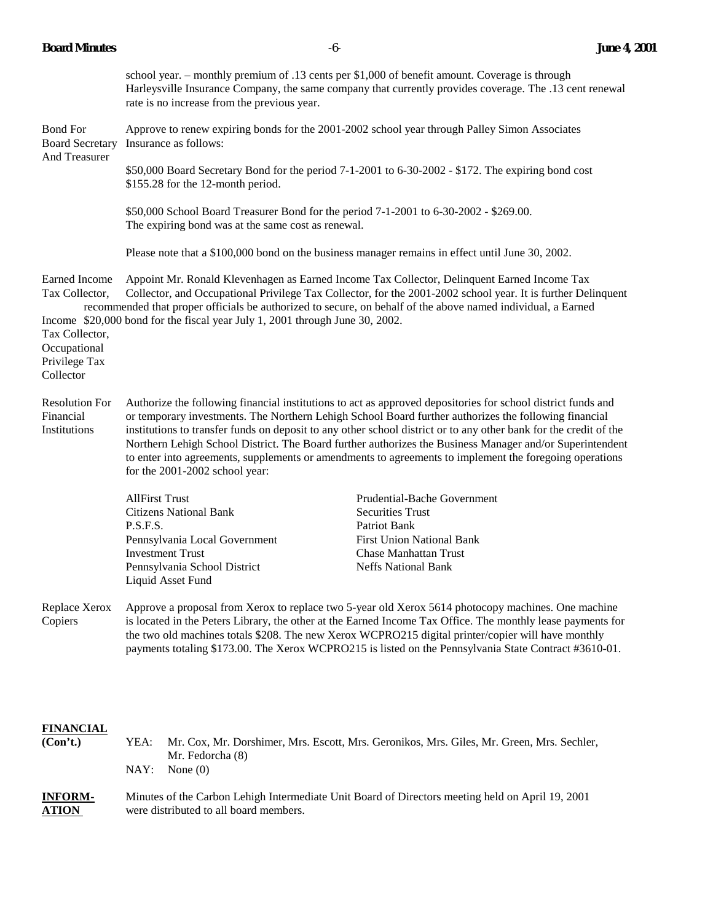|                                                                                                 | school year. – monthly premium of .13 cents per \$1,000 of benefit amount. Coverage is through<br>Harleysville Insurance Company, the same company that currently provides coverage. The .13 cent renewal<br>rate is no increase from the previous year.                                                                                                                                                                                                                                                                                                                                            |                                                                                                                                                                          |  |  |  |
|-------------------------------------------------------------------------------------------------|-----------------------------------------------------------------------------------------------------------------------------------------------------------------------------------------------------------------------------------------------------------------------------------------------------------------------------------------------------------------------------------------------------------------------------------------------------------------------------------------------------------------------------------------------------------------------------------------------------|--------------------------------------------------------------------------------------------------------------------------------------------------------------------------|--|--|--|
| <b>Bond For</b><br><b>Board Secretary</b><br>And Treasurer                                      | Approve to renew expiring bonds for the 2001-2002 school year through Palley Simon Associates<br>Insurance as follows:                                                                                                                                                                                                                                                                                                                                                                                                                                                                              |                                                                                                                                                                          |  |  |  |
|                                                                                                 | \$50,000 Board Secretary Bond for the period 7-1-2001 to 6-30-2002 - \$172. The expiring bond cost<br>\$155.28 for the 12-month period.                                                                                                                                                                                                                                                                                                                                                                                                                                                             |                                                                                                                                                                          |  |  |  |
|                                                                                                 | \$50,000 School Board Treasurer Bond for the period 7-1-2001 to 6-30-2002 - \$269.00.<br>The expiring bond was at the same cost as renewal.                                                                                                                                                                                                                                                                                                                                                                                                                                                         |                                                                                                                                                                          |  |  |  |
|                                                                                                 | Please note that a \$100,000 bond on the business manager remains in effect until June 30, 2002.                                                                                                                                                                                                                                                                                                                                                                                                                                                                                                    |                                                                                                                                                                          |  |  |  |
| Earned Income<br>Tax Collector,<br>Tax Collector,<br>Occupational<br>Privilege Tax<br>Collector | Appoint Mr. Ronald Klevenhagen as Earned Income Tax Collector, Delinquent Earned Income Tax<br>Collector, and Occupational Privilege Tax Collector, for the 2001-2002 school year. It is further Delinquent<br>recommended that proper officials be authorized to secure, on behalf of the above named individual, a Earned<br>Income \$20,000 bond for the fiscal year July 1, 2001 through June 30, 2002.                                                                                                                                                                                         |                                                                                                                                                                          |  |  |  |
| <b>Resolution For</b><br>Financial<br>Institutions                                              | Authorize the following financial institutions to act as approved depositories for school district funds and<br>or temporary investments. The Northern Lehigh School Board further authorizes the following financial<br>institutions to transfer funds on deposit to any other school district or to any other bank for the credit of the<br>Northern Lehigh School District. The Board further authorizes the Business Manager and/or Superintendent<br>to enter into agreements, supplements or amendments to agreements to implement the foregoing operations<br>for the 2001-2002 school year: |                                                                                                                                                                          |  |  |  |
|                                                                                                 | <b>AllFirst Trust</b><br><b>Citizens National Bank</b><br>P.S.F.S.<br>Pennsylvania Local Government<br><b>Investment Trust</b><br>Pennsylvania School District<br>Liquid Asset Fund                                                                                                                                                                                                                                                                                                                                                                                                                 | Prudential-Bache Government<br><b>Securities Trust</b><br>Patriot Bank<br><b>First Union National Bank</b><br><b>Chase Manhattan Trust</b><br><b>Neffs National Bank</b> |  |  |  |
| Replace Xerox<br>Copiers                                                                        | Approve a proposal from Xerox to replace two 5-year old Xerox 5614 photocopy machines. One machine<br>is located in the Peters Library, the other at the Earned Income Tax Office. The monthly lease payments for<br>the two old machines totals \$208. The new Xerox WCPRO215 digital printer/copier will have monthly<br>payments totaling \$173.00. The Xerox WCPRO215 is listed on the Pennsylvania State Contract #3610-01.                                                                                                                                                                    |                                                                                                                                                                          |  |  |  |
| <b>FINANCIAL</b><br>(Con't.)                                                                    | YEA:<br>Mr. Cox, Mr. Dorshimer, Mrs. Escott, Mrs. Geronikos, Mrs. Giles, Mr. Green, Mrs. Sechler,<br>Mr. Fedorcha (8)<br>NAY:<br>None $(0)$                                                                                                                                                                                                                                                                                                                                                                                                                                                         |                                                                                                                                                                          |  |  |  |

# **INFORM-** Minutes of the Carbon Lehigh Intermediate Unit Board of Directors meeting held on April 19, 2001 **ATION** were distributed to all board members.